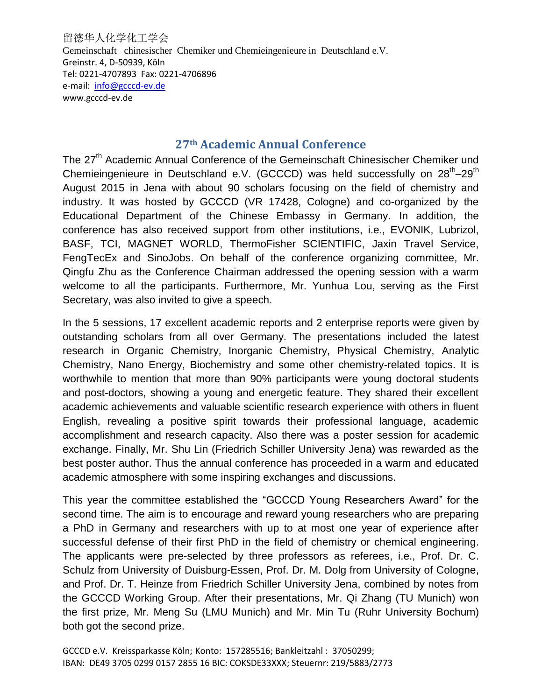留德华人化学化工学会 Gemeinschaft chinesischer Chemiker und Chemieingenieure in Deutschland e.V. Greinstr. 4, D-50939, Köln Tel: 0221-4707893 Fax: 0221-4706896 e-mail: [info@gcccd-ev.de](mailto:info@gcccd-ev.de) www.gcccd-ev.de

## **27th Academic Annual Conference**

The 27<sup>th</sup> Academic Annual Conference of the Gemeinschaft Chinesischer Chemiker und Chemieingenieure in Deutschland e.V. (GCCCD) was held successfully on 28<sup>th</sup>-29<sup>th</sup> August 2015 in Jena with about 90 scholars focusing on the field of chemistry and industry. It was hosted by GCCCD (VR 17428, Cologne) and co-organized by the Educational Department of the Chinese Embassy in Germany. In addition, the conference has also received support from other institutions, i.e., EVONIK, Lubrizol, BASF, TCI, MAGNET WORLD, ThermoFisher SCIENTIFIC, Jaxin Travel Service, FengTecEx and SinoJobs. On behalf of the conference organizing committee, Mr. Qingfu Zhu as the Conference Chairman addressed the opening session with a warm welcome to all the participants. Furthermore, Mr. Yunhua Lou, serving as the First Secretary, was also invited to give a speech.

In the 5 sessions, 17 excellent academic reports and 2 enterprise reports were given by outstanding scholars from all over Germany. The presentations included the latest research in Organic Chemistry, Inorganic Chemistry, Physical Chemistry, Analytic Chemistry, Nano Energy, Biochemistry and some other chemistry-related topics. It is worthwhile to mention that more than 90% participants were young doctoral students and post-doctors, showing a young and energetic feature. They shared their excellent [academic](file:///C:/Users/cao/Documents/Program%20FilesYoudaoDict6.1.51.3321resultuiframejavascript:void(0);) [achievements](file:///C:/Users/cao/Documents/Program%20FilesYoudaoDict6.1.51.3321resultuiframejavascript:void(0);) and valuable scientific research experience with others in fluent English, revealing a positive spirit towards their professional language, academic accomplishment and research capacity. Also there was a poster session for academic exchange. Finally, Mr. Shu Lin (Friedrich Schiller University Jena) was rewarded as the best poster author. Thus the annual conference has proceeded in a warm and educated academic atmosphere with some inspiring exchanges and discussions.

This year the committee established the "GCCCD Young Researchers Award" for the second time. The aim is to encourage and reward young researchers who are preparing a PhD in Germany and researchers with up to at most one year of experience after successful defense of their first PhD in the field of chemistry or chemical engineering. The applicants were pre-selected by three professors as referees, i.e., Prof. Dr. C. Schulz from University of Duisburg-Essen, Prof. Dr. M. Dolg from University of Cologne, and Prof. Dr. T. Heinze from Friedrich Schiller University Jena, combined by notes from the GCCCD Working Group. After their presentations, Mr. Qi Zhang (TU Munich) won the first prize, Mr. Meng Su (LMU Munich) and Mr. Min Tu (Ruhr University Bochum) both got the second prize.